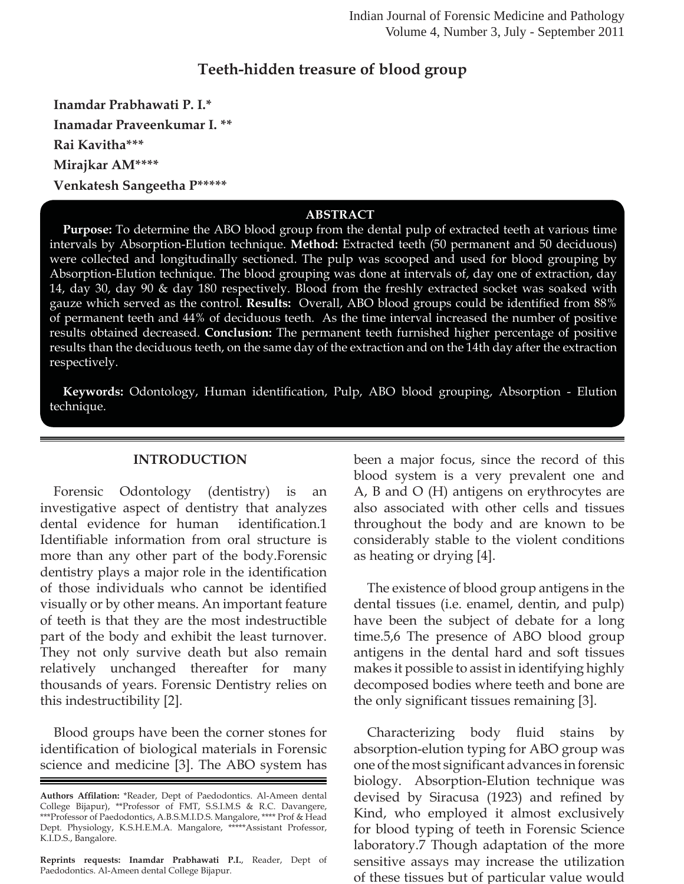## **Teeth-hidden treasure of blood group**

**Inamdar Prabhawati P. I.\* Inamadar Praveenkumar I. \*\* Rai Kavitha\*\*\* Mirajkar AM\*\*\*\* Venkatesh Sangeetha P\*\*\*\*\***

### **ABSTRACT**

**Purpose:** To determine the ABO blood group from the dental pulp of extracted teeth at various time intervals by Absorption-Elution technique. **Method:** Extracted teeth (50 permanent and 50 deciduous) were collected and longitudinally sectioned. The pulp was scooped and used for blood grouping by Absorption-Elution technique. The blood grouping was done at intervals of, day one of extraction, day 14, day 30, day 90 & day 180 respectively. Blood from the freshly extracted socket was soaked with gauze which served as the control. **Results:** Overall, ABO blood groups could be identified from 88% of permanent teeth and 44% of deciduous teeth. As the time interval increased the number of positive results obtained decreased. **Conclusion:** The permanent teeth furnished higher percentage of positive results than the deciduous teeth, on the same day of the extraction and on the 14th day after the extraction respectively.

Keywords: Odontology, Human identification, Pulp, ABO blood grouping, Absorption - Elution technique.

### **INTRODUCTION**

Forensic Odontology (dentistry) is an investigative aspect of dentistry that analyzes dental evidence for human identification.1 Identifiable information from oral structure is more than any other part of the body.Forensic dentistry plays a major role in the identification of those individuals who cannot be identified visually or by other means. An important feature of teeth is that they are the most indestructible part of the body and exhibit the least turnover. They not only survive death but also remain relatively unchanged thereafter for many thousands of years. Forensic Dentistry relies on this indestructibility [2].

Blood groups have been the corner stones for identification of biological materials in Forensic science and medicine [3]. The ABO system has

**Reprints requests: Inamdar Prabhawati P.I.**, Reader, Dept of Paedodontics. Al-Ameen dental College Bijapur.

been a major focus, since the record of this blood system is a very prevalent one and A, B and O (H) antigens on erythrocytes are also associated with other cells and tissues throughout the body and are known to be considerably stable to the violent conditions as heating or drying [4].

The existence of blood group antigens in the dental tissues (i.e. enamel, dentin, and pulp) have been the subject of debate for a long time.5,6 The presence of ABO blood group antigens in the dental hard and soft tissues makes it possible to assist in identifying highly decomposed bodies where teeth and bone are the only significant tissues remaining [3].

Characterizing body fluid stains by absorption-elution typing for ABO group was one of the most significant advances in forensic biology. Absorption-Elution technique was devised by Siracusa (1923) and refined by Kind, who employed it almost exclusively for blood typing of teeth in Forensic Science laboratory.7 Though adaptation of the more sensitive assays may increase the utilization of these tissues but of particular value would

Authors Affilation: \*Reader, Dept of Paedodontics. Al-Ameen dental College Bijapur), \*\*Professor of FMT, S.S.I.M.S & R.C. Davangere, \*\*\*Professor of Paedodontics, A.B.S.M.I.D.S. Mangalore, \*\*\*\* Prof & Head Dept. Physiology, K.S.H.E.M.A. Mangalore, \*\*\*\*\*Assistant Professor, K.I.D.S., Bangalore.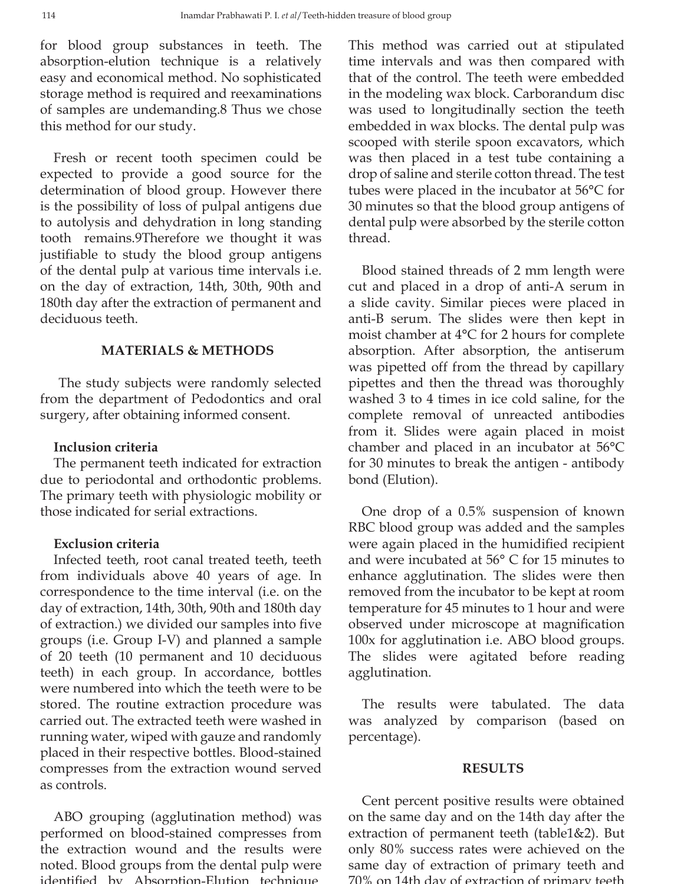for blood group substances in teeth. The absorption-elution technique is a relatively easy and economical method. No sophisticated storage method is required and reexaminations of samples are undemanding.8 Thus we chose this method for our study.

Fresh or recent tooth specimen could be expected to provide a good source for the determination of blood group. However there is the possibility of loss of pulpal antigens due to autolysis and dehydration in long standing tooth remains.9Therefore we thought it was justifiable to study the blood group antigens of the dental pulp at various time intervals i.e. on the day of extraction, 14th, 30th, 90th and 180th day after the extraction of permanent and deciduous teeth.

## **MATERIALS & METHODS**

 The study subjects were randomly selected from the department of Pedodontics and oral surgery, after obtaining informed consent.

## **Inclusion criteria**

The permanent teeth indicated for extraction due to periodontal and orthodontic problems. The primary teeth with physiologic mobility or those indicated for serial extractions.

## **Exclusion criteria**

Infected teeth, root canal treated teeth, teeth from individuals above 40 years of age. In correspondence to the time interval (i.e. on the day of extraction, 14th, 30th, 90th and 180th day of extraction.) we divided our samples into five groups (i.e. Group I-V) and planned a sample of 20 teeth (10 permanent and 10 deciduous teeth) in each group. In accordance, bottles were numbered into which the teeth were to be stored. The routine extraction procedure was carried out. The extracted teeth were washed in running water, wiped with gauze and randomly placed in their respective bottles. Blood-stained compresses from the extraction wound served as controls.

ABO grouping (agglutination method) was performed on blood-stained compresses from the extraction wound and the results were noted. Blood groups from the dental pulp were identified by Absorption-Elution technique

This method was carried out at stipulated time intervals and was then compared with that of the control. The teeth were embedded in the modeling wax block. Carborandum disc was used to longitudinally section the teeth embedded in wax blocks. The dental pulp was scooped with sterile spoon excavators, which was then placed in a test tube containing a drop of saline and sterile cotton thread. The test tubes were placed in the incubator at 56°C for 30 minutes so that the blood group antigens of dental pulp were absorbed by the sterile cotton thread.

Blood stained threads of 2 mm length were cut and placed in a drop of anti-A serum in a slide cavity. Similar pieces were placed in anti-B serum. The slides were then kept in moist chamber at 4°C for 2 hours for complete absorption. After absorption, the antiserum was pipetted off from the thread by capillary pipettes and then the thread was thoroughly washed 3 to 4 times in ice cold saline, for the complete removal of unreacted antibodies from it. Slides were again placed in moist chamber and placed in an incubator at 56°C for 30 minutes to break the antigen - antibody bond (Elution).

One drop of a 0.5% suspension of known RBC blood group was added and the samples were again placed in the humidified recipient and were incubated at 56° C for 15 minutes to enhance agglutination. The slides were then removed from the incubator to be kept at room temperature for 45 minutes to 1 hour and were observed under microscope at magnification 100x for agglutination i.e. ABO blood groups. The slides were agitated before reading agglutination.

The results were tabulated. The data was analyzed by comparison (based on percentage).

## **RESULTS**

Cent percent positive results were obtained on the same day and on the 14th day after the extraction of permanent teeth (table1&2). But only 80% success rates were achieved on the same day of extraction of primary teeth and 70% on 14th day of extraction of primary teeth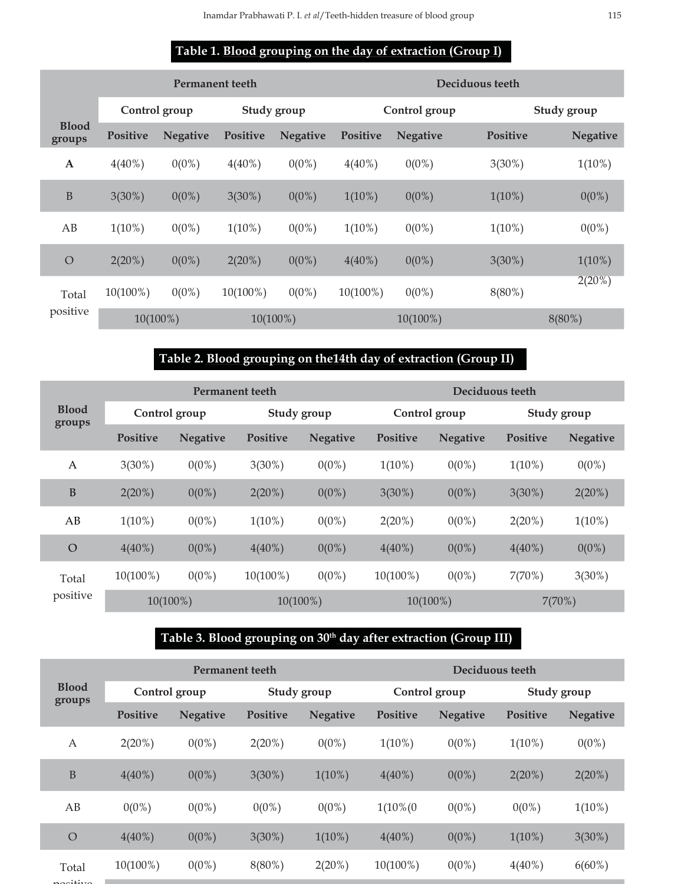## **Table 1. Blood grouping on the day of extraction (Group I)**

|                        |               | Permanent teeth |                 |                 | Deciduous teeth |                 |                 |                 |  |  |  |
|------------------------|---------------|-----------------|-----------------|-----------------|-----------------|-----------------|-----------------|-----------------|--|--|--|
|                        | Control group |                 | Study group     |                 |                 | Control group   |                 | Study group     |  |  |  |
| <b>Blood</b><br>groups | Positive      | <b>Negative</b> | <b>Positive</b> | <b>Negative</b> | <b>Positive</b> | <b>Negative</b> | <b>Positive</b> | <b>Negative</b> |  |  |  |
| $\mathbf A$            | $4(40\%)$     | $0(0\%)$        | $4(40\%)$       | $0(0\%)$        | $4(40\%)$       | $0(0\%)$        | $3(30\%)$       | $1(10\%)$       |  |  |  |
| $\, {\bf B}$           | $3(30\%)$     | $0(0\%)$        | $3(30\%)$       | $0(0\%)$        | $1(10\%)$       | $0(0\%)$        | $1(10\%)$       | $0(0\%)$        |  |  |  |
| AB                     | $1(10\%)$     | $0(0\%)$        | $1(10\%)$       | $0(0\%)$        | $1(10\%)$       | $0(0\%)$        | $1(10\%)$       | $0(0\%)$        |  |  |  |
| $\bigcirc$             | $2(20\%)$     | $0(0\%)$        | 2(20%)          | $0(0\%)$        | $4(40\%)$       | $0(0\%)$        | $3(30\%)$       | $1(10\%)$       |  |  |  |
| Total<br>positive      | $10(100\%)$   | $0(0\%)$        | $10(100\%)$     | $0(0\%)$        | $10(100\%)$     | $0(0\%)$        | $8(80\%)$       | $2(20\%)$       |  |  |  |
|                        | 10(100%)      |                 | $10(100\%)$     |                 |                 | $10(100\%)$     |                 | $8(80\%)$       |  |  |  |

# **Table 2. Blood grouping on the14th day of extraction (Group II)**

|                        |                 |                 | <b>Permanent teeth</b> |                 | Deciduous teeth |                 |                 |                 |  |
|------------------------|-----------------|-----------------|------------------------|-----------------|-----------------|-----------------|-----------------|-----------------|--|
| <b>Blood</b><br>groups | Control group   |                 | Study group            |                 | Control group   |                 | Study group     |                 |  |
|                        | <b>Positive</b> | <b>Negative</b> | <b>Positive</b>        | <b>Negative</b> | Positive        | <b>Negative</b> | <b>Positive</b> | <b>Negative</b> |  |
| A                      | $3(30\%)$       | $0(0\%)$        | $3(30\%)$              | $0(0\%)$        | $1(10\%)$       | $0(0\%)$        | $1(10\%)$       | $0(0\%)$        |  |
| B                      | $2(20\%)$       | $0(0\%)$        | $2(20\%)$              | $0(0\%)$        | $3(30\%)$       | $0(0\%)$        | $3(30\%)$       | 2(20%)          |  |
| AB                     | $1(10\%)$       | $0(0\%)$        | $1(10\%)$              | $0(0\%)$        | $2(20\%)$       | $0(0\%)$        | $2(20\%)$       | $1(10\%)$       |  |
| $\circ$                | $4(40\%)$       | $0(0\%)$        | $4(40\%)$              | $0(0\%)$        | $4(40\%)$       | $0(0\%)$        | $4(40\%)$       | $0(0\%)$        |  |
| Total<br>positive      | $10(100\%)$     | $0(0\%)$        | $10(100\%)$            | $0(0\%)$        | $10(100\%)$     | $0(0\%)$        | 7(70%)          | $3(30\%)$       |  |
|                        | $10(100\%)$     |                 | $10(100\%)$            |                 | $10(100\%)$     |                 | 7(70%)          |                 |  |

## Table 3. Blood grouping on 30<sup>th</sup> day after extraction (Group III)

| <b>Blood</b> | <b>Permanent teeth</b>   |                 |                 |                 | Deciduous teeth |                 |                 |                 |                 |
|--------------|--------------------------|-----------------|-----------------|-----------------|-----------------|-----------------|-----------------|-----------------|-----------------|
|              | groups                   | Control group   |                 | Study group     |                 | Control group   |                 | Study group     |                 |
|              |                          | <b>Positive</b> | <b>Negative</b> | <b>Positive</b> | <b>Negative</b> | <b>Positive</b> | <b>Negative</b> | <b>Positive</b> | <b>Negative</b> |
|              | A                        | $2(20\%)$       | $0(0\%)$        | $2(20\%)$       | $0(0\%)$        | $1(10\%)$       | $0(0\%)$        | $1(10\%)$       | $0(0\%)$        |
|              | $\mathbf B$              | $4(40\%)$       | $0(0\%)$        | $3(30\%)$       | $1(10\%)$       | $4(40\%)$       | $0(0\%)$        | $2(20\%)$       | $2(20\%)$       |
|              | AB                       | $0(0\%)$        | $0(0\%)$        | $0(0\%)$        | $0(0\%)$        | $1(10\%)(0)$    | $0(0\%)$        | $0(0\%)$        | $1(10\%)$       |
|              | $\circ$                  | $4(40\%)$       | $0(0\%)$        | $3(30\%)$       | $1(10\%)$       | $4(40\%)$       | $0(0\%)$        | $1(10\%)$       | $3(30\%)$       |
|              | Total                    | 10(100%)        | $0(0\%)$        | $8(80\%)$       | 2(20%)          | 10(100%)        | $0(0\%)$        | $4(40\%)$       | $6(60\%)$       |
|              | $\overline{\phantom{a}}$ |                 |                 |                 |                 |                 |                 |                 |                 |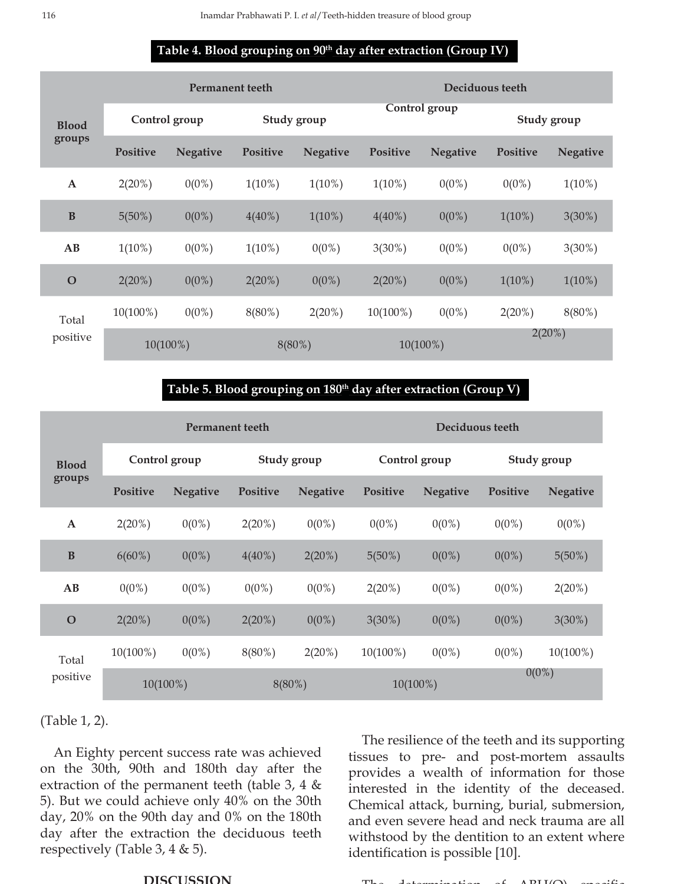### Table 4. Blood grouping on 90<sup>th</sup> day after extraction (Group IV)

|                        | <b>Permanent teeth</b> |                 |                 |                 | Deciduous teeth |                 |             |                 |
|------------------------|------------------------|-----------------|-----------------|-----------------|-----------------|-----------------|-------------|-----------------|
| <b>Blood</b><br>groups | Control group          |                 | Study group     |                 | Control group   |                 | Study group |                 |
|                        | Positive               | <b>Negative</b> | <b>Positive</b> | <b>Negative</b> | <b>Positive</b> | <b>Negative</b> | Positive    | <b>Negative</b> |
| $\mathbf{A}$           | $2(20\%)$              | $0(0\%)$        | $1(10\%)$       | $1(10\%)$       | $1(10\%)$       | $0(0\%)$        | $0(0\%)$    | $1(10\%)$       |
| $\bf{B}$               | $5(50\%)$              | $0(0\%)$        | $4(40\%)$       | $1(10\%)$       | $4(40\%)$       | $0(0\%)$        | $1(10\%)$   | $3(30\%)$       |
| AB                     | $1(10\%)$              | $0(0\%)$        | $1(10\%)$       | $0(0\%)$        | $3(30\%)$       | $0(0\%)$        | $0(0\%)$    | $3(30\%)$       |
| $\mathbf O$            | $2(20\%)$              | $0(0\%)$        | $2(20\%)$       | $0(0\%)$        | $2(20\%)$       | $0(0\%)$        | $1(10\%)$   | $1(10\%)$       |
| Total<br>positive      | 10(100%)               | $0(0\%)$        | $8(80\%)$       | $2(20\%)$       | 10(100%)        | $0(0\%)$        | $2(20\%)$   | $8(80\%)$       |
|                        | 10(100%)               |                 | $8(80\%)$       |                 | $10(100\%)$     |                 | $2(20\%)$   |                 |

### Table 5. Blood grouping on 180<sup>th</sup> day after extraction (Group V)

|                        |                 | <b>Permanent teeth</b> |                 |                 | Deciduous teeth |                 |                 |                 |  |
|------------------------|-----------------|------------------------|-----------------|-----------------|-----------------|-----------------|-----------------|-----------------|--|
| <b>Blood</b><br>groups | Control group   |                        | Study group     |                 | Control group   |                 | Study group     |                 |  |
|                        | <b>Positive</b> | <b>Negative</b>        | <b>Positive</b> | <b>Negative</b> | <b>Positive</b> | <b>Negative</b> | <b>Positive</b> | <b>Negative</b> |  |
| $\mathbf{A}$           | $2(20\%)$       | $0(0\%)$               | 2(20%)          | $0(0\%)$        | $0(0\%)$        | $0(0\%)$        | $0(0\%)$        | $0(0\%)$        |  |
| $\bf{B}$               | $6(60\%)$       | $0(0\%)$               | $4(40\%)$       | 2(20%)          | $5(50\%)$       | $0(0\%)$        | $0(0\%)$        | $5(50\%)$       |  |
| AB                     | $0(0\%)$        | $0(0\%)$               | $0(0\%)$        | $0(0\%)$        | 2(20%)          | $0(0\%)$        | $0(0\%)$        | 2(20%)          |  |
| $\mathbf O$            | 2(20%)          | $0(0\%)$               | 2(20%)          | $0(0\%)$        | $3(30\%)$       | $0(0\%)$        | $0(0\%)$        | $3(30\%)$       |  |
| Total<br>positive      | $10(100\%)$     | $0(0\%)$               | $8(80\%)$       | $2(20\%)$       | 10(100%)        | $0(0\%)$        | $0(0\%)$        | 10(100%)        |  |
|                        | $10(100\%)$     |                        | $8(80\%)$       |                 | $10(100\%)$     |                 | $0(0\%)$        |                 |  |

(Table 1, 2).

An Eighty percent success rate was achieved on the 30th, 90th and 180th day after the extraction of the permanent teeth (table 3, 4 & 5). But we could achieve only 40% on the 30th day, 20% on the 90th day and 0% on the 180th day after the extraction the deciduous teeth respectively (Table 3, 4 & 5).

#### **DISCUSSION**

The resilience of the teeth and its supporting tissues to pre- and post-mortem assaults provides a wealth of information for those interested in the identity of the deceased. Chemical attack, burning, burial, submersion, and even severe head and neck trauma are all withstood by the dentition to an extent where identification is possible [10].

 $\Gamma$ <sub>be</sub> determination of  $ADH(\Omega)$  specific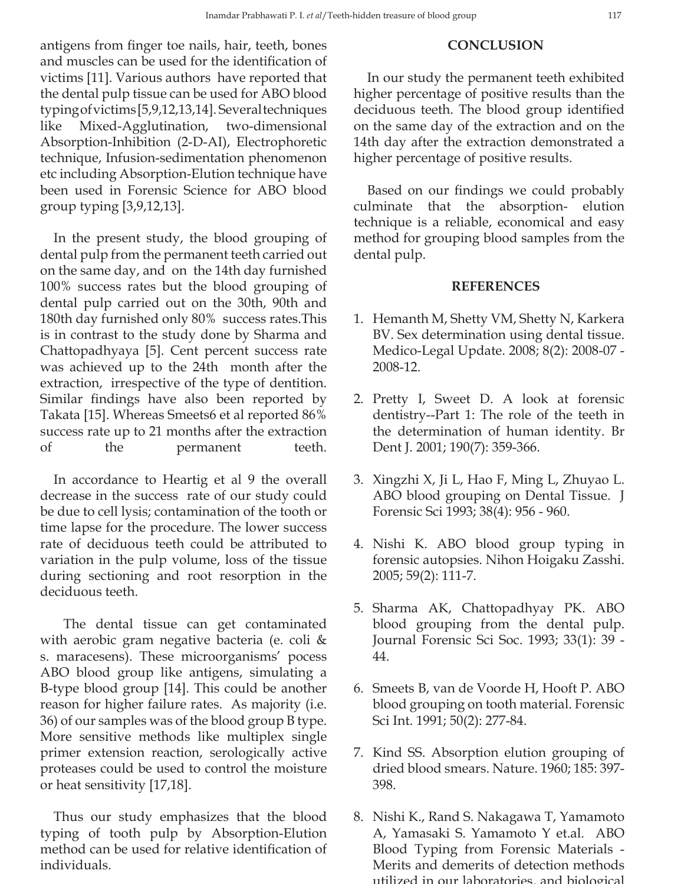## antigens from finger toe nails, hair, teeth, bones and muscles can be used for the identification of victims [11]. Various authors have reported that the dental pulp tissue can be used for ABO blood typing of victims [5,9,12,13,14]. Several techniques like Mixed-Agglutination, two-dimensional Absorption-Inhibition (2-D-AI), Electrophoretic technique, Infusion-sedimentation phenomenon etc including Absorption-Elution technique have been used in Forensic Science for ABO blood group typing [3,9,12,13].

In the present study, the blood grouping of dental pulp from the permanent teeth carried out on the same day, and on the 14th day furnished 100% success rates but the blood grouping of dental pulp carried out on the 30th, 90th and 180th day furnished only 80% success rates.This is in contrast to the study done by Sharma and Chattopadhyaya [5]. Cent percent success rate was achieved up to the 24th month after the extraction, irrespective of the type of dentition. Similar findings have also been reported by Takata [15]. Whereas Smeets6 et al reported 86% success rate up to 21 months after the extraction of the permanent teeth.

In accordance to Heartig et al 9 the overall decrease in the success rate of our study could be due to cell lysis; contamination of the tooth or time lapse for the procedure. The lower success rate of deciduous teeth could be attributed to variation in the pulp volume, loss of the tissue during sectioning and root resorption in the deciduous teeth.

 The dental tissue can get contaminated with aerobic gram negative bacteria (e. coli & s. maracesens). These microorganisms' pocess ABO blood group like antigens, simulating a B-type blood group [14]. This could be another reason for higher failure rates. As majority (i.e. 36) of our samples was of the blood group B type. More sensitive methods like multiplex single primer extension reaction, serologically active proteases could be used to control the moisture or heat sensitivity [17,18].

Thus our study emphasizes that the blood typing of tooth pulp by Absorption-Elution method can be used for relative identification of individuals.

### **CONCLUSION**

In our study the permanent teeth exhibited higher percentage of positive results than the deciduous teeth. The blood group identified on the same day of the extraction and on the 14th day after the extraction demonstrated a higher percentage of positive results.

Based on our findings we could probably culminate that the absorption- elution technique is a reliable, economical and easy method for grouping blood samples from the dental pulp.

### **REFERENCES**

- 1. Hemanth M, Shetty VM, Shetty N, Karkera BV. Sex determination using dental tissue. Medico-Legal Update. 2008; 8(2): 2008-07 - 2008-12.
- 2. Pretty I, Sweet D. A look at forensic dentistry--Part 1: The role of the teeth in the determination of human identity. Br Dent J. 2001; 190(7): 359-366.
- 3. Xingzhi X, Ji L, Hao F, Ming L, Zhuyao L. ABO blood grouping on Dental Tissue. J Forensic Sci 1993; 38(4): 956 - 960.
- 4. Nishi K. ABO blood group typing in forensic autopsies. Nihon Hoigaku Zasshi. 2005; 59(2): 111-7.
- 5. Sharma AK, Chattopadhyay PK. ABO blood grouping from the dental pulp. Journal Forensic Sci Soc. 1993; 33(1): 39 - 44.
- 6. Smeets B, van de Voorde H, Hooft P. ABO blood grouping on tooth material. Forensic Sci Int. 1991; 50(2): 277-84.
- 7. Kind SS. Absorption elution grouping of dried blood smears. Nature. 1960; 185: 397- 398.
- 8. Nishi K., Rand S. Nakagawa T, Yamamoto A, Yamasaki S. Yamamoto Y et.al. ABO Blood Typing from Forensic Materials - Merits and demerits of detection methods utilized in our laboratories, and biological